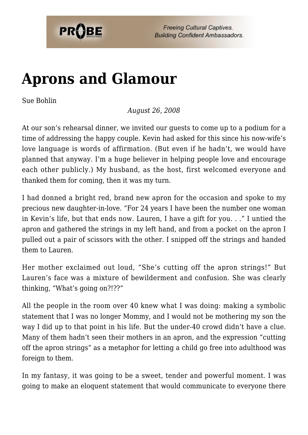

**Freeing Cultural Captives. Building Confident Ambassadors.** 

## **[Aprons and Glamour](https://probe.org/aprons-and-glamour/)**

Sue Bohlin

*August 26, 2008*

At our son's rehearsal dinner, we invited our guests to come up to a podium for a time of addressing the happy couple. Kevin had asked for this since his now-wife's love language is words of affirmation. (But even if he hadn't, we would have planned that anyway. I'm a huge believer in helping people love and encourage each other publicly.) My husband, as the host, first welcomed everyone and thanked them for coming, then it was my turn.

I had donned a bright red, brand new apron for the occasion and spoke to my precious new daughter-in-love. "For 24 years I have been the number one woman in Kevin's life, but that ends now. Lauren, I have a gift for you. . ." I untied the apron and gathered the strings in my left hand, and from a pocket on the apron I pulled out a pair of scissors with the other. I snipped off the strings and handed them to Lauren.

Her mother exclaimed out loud, "She's cutting off the apron strings!" But Lauren's face was a mixture of bewilderment and confusion. She was clearly thinking, "What's going on?!??"

All the people in the room over 40 knew what I was doing: making a symbolic statement that I was no longer Mommy, and I would not be mothering my son the way I did up to that point in his life. But the under-40 crowd didn't have a clue. Many of them hadn't seen their mothers in an apron, and the expression "cutting off the apron strings" as a metaphor for letting a child go free into adulthood was foreign to them.

In my fantasy, it was going to be a sweet, tender and powerful moment. I was going to make an eloquent statement that would communicate to everyone there